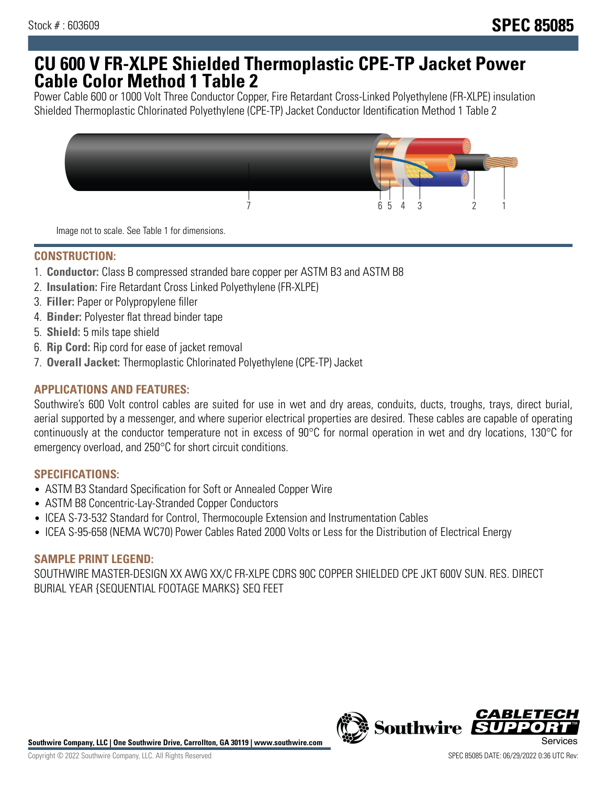# **CU 600 V FR-XLPE Shielded Thermoplastic CPE-TP Jacket Power Cable Color Method 1 Table 2**

Power Cable 600 or 1000 Volt Three Conductor Copper, Fire Retardant Cross-Linked Polyethylene (FR-XLPE) insulation Shielded Thermoplastic Chlorinated Polyethylene (CPE-TP) Jacket Conductor Identification Method 1 Table 2



Image not to scale. See Table 1 for dimensions.

### **CONSTRUCTION:**

- 1. **Conductor:** Class B compressed stranded bare copper per ASTM B3 and ASTM B8
- 2. **Insulation:** Fire Retardant Cross Linked Polyethylene (FR-XLPE)
- 3. **Filler:** Paper or Polypropylene filler
- 4. **Binder:** Polyester flat thread binder tape
- 5. **Shield:** 5 mils tape shield
- 6. **Rip Cord:** Rip cord for ease of jacket removal
- 7. **Overall Jacket:** Thermoplastic Chlorinated Polyethylene (CPE-TP) Jacket

### **APPLICATIONS AND FEATURES:**

Southwire's 600 Volt control cables are suited for use in wet and dry areas, conduits, ducts, troughs, trays, direct burial, aerial supported by a messenger, and where superior electrical properties are desired. These cables are capable of operating continuously at the conductor temperature not in excess of 90°C for normal operation in wet and dry locations, 130°C for emergency overload, and 250°C for short circuit conditions.

#### **SPECIFICATIONS:**

- ASTM B3 Standard Specification for Soft or Annealed Copper Wire
- ASTM B8 Concentric-Lay-Stranded Copper Conductors
- ICEA S-73-532 Standard for Control, Thermocouple Extension and Instrumentation Cables
- ICEA S-95-658 (NEMA WC70) Power Cables Rated 2000 Volts or Less for the Distribution of Electrical Energy

#### **SAMPLE PRINT LEGEND:**

SOUTHWIRE MASTER-DESIGN XX AWG XX/C FR-XLPE CDRS 90C COPPER SHIELDED CPE JKT 600V SUN. RES. DIRECT BURIAL YEAR {SEQUENTIAL FOOTAGE MARKS} SEQ FEET